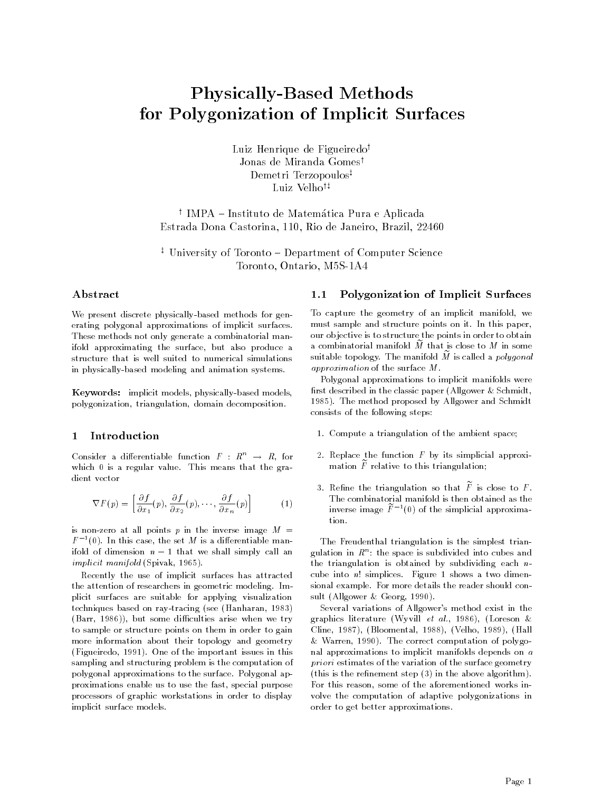# Physically-Based Methods for Polygonization of Implicit Surfaces

Luiz Henrique de Figueiredo<sup>†</sup> Jonas de Miranda Gomes<sup>t</sup> Demetri Terzopoulos<sup>‡</sup> Luiz Velho<sup>†‡</sup>

<sup>y</sup> IMPA Instituto de Matematica Pura e Aplicada Estrada Dona Castorina- - Rio de Janeiro- Brazil-

<sup>z</sup> University of Toronto Department of Computer Science Toronto-American control of the control of the control of the control of the control of the control of the control of the control of the control of the control of the control of the control of the control of the control of

### Abstract

We present discrete physically-based methods for generating polygonal approximations of implicit surfaces These methods not only generate a combinatorial man ifold approximating the surface- but also produce a structure that is well suited to numerical simulations in physically-based modeling and animation systems.

Keywords implicit models- physicallybased modelspolygonization-polygonization-polygonization-polygonization-

#### Introduction  $\mathbf{1}$

Consider a differentiable function  $F : K^{\sim} \to K$ , for which  $0$  is a regular value. This means that the gradient vector

$$
\nabla F(p) = \left[ \frac{\partial f}{\partial x_1}(p), \frac{\partial f}{\partial x_2}(p), \cdots, \frac{\partial f}{\partial x_n}(p) \right] \tag{1}
$$

is non-zero at all points p in the inverse image  $M =$  $F^{-\texttt{f}}(0)$ . In this case, the set  $M$  is a differentiable manifold of dimension n - that we shall simply that we implicit manifold Spivak- 

Recently the use of implicit surfaces has attracted the attention of researchers in geometric modeling. Implicit surfaces are suitable for applying visualization techniques based on raytracing see Hanharan but some different arise when we trying the some different arises when we trying the some different arises when we trying the some different arises when we trying the some different arises when we trying the some different to sample or structure points on them in order to gain more information about their topology and geometry  $\mathcal{L} = \mathcal{L}$  . The integration is the important in the important in the important issues in the important in the integration of  $\mathcal{L} = \mathcal{L}$ sampling and structuring problem is the computation of polygonal approximations to the surface Polygonal ap proximations enable us to use the fast- special purpose processors of graphic workstations in order to display implicit surface models

# Polygonization of Implicit Surfaces

To capture the geometry of an implicit manifold- we must sample and structure points on it. In this paper, our objective is to structure the points in order to obtain a combinatorial manifold  $\tilde{M}$  that is close to  $M$  in some suitable topology. The manifold  $M$  is called a  $polygonal$ approximation of the surface  $M$ .

Polygonal approximations to implicit manifolds were first described in the classic paper (Allgower  $&$  Schmidt,  The method proposed by Allgower and Schmidt consists of the following steps

- 1. Compute a triangulation of the ambient space;
- 2. Replace the function  $F$  by its simplicial approximation  $\overline{F}$  relative to this triangulation;
- 3. Refine the triangulation so that  $\widetilde{F}$  is close to F. The combinatorial manifold is then obtained as the inverse image  $F^{-1}(0)$  of the simplicial approxima-

The Freudenthal triangulation is the simplest trian gulation in  $K^{\circ}$ : the space is subdivided into cubes and the triangulation is obtained by subdividing each  $n$ cube into  $n!$  simplices. Figure 1 shows a two dimensional example For more details the reader should con sult Allgower and Allgower and Allgower and Allgower and Allgower and Allgower and Allgower and Allgower and A

Several variations of Allgower's method exist in the  $\mathcal{L}$  . The locality is a strong with the strong will experimental the strong will experimental the strong with  $\mathcal{L}$ Cline- - Bloomental- - Velho- - Hall ware the correct computation of polygonal computation of polygonal computation of polygonal computation of poly nal approximations to implicit manifolds depends on a priori estimates of the variation of the surface geometry (this is the refinement step  $(3)$  in the above algorithm). For this reason- some of the aforementioned works in volve the computation of adaptive polygonizations in order to get better approximations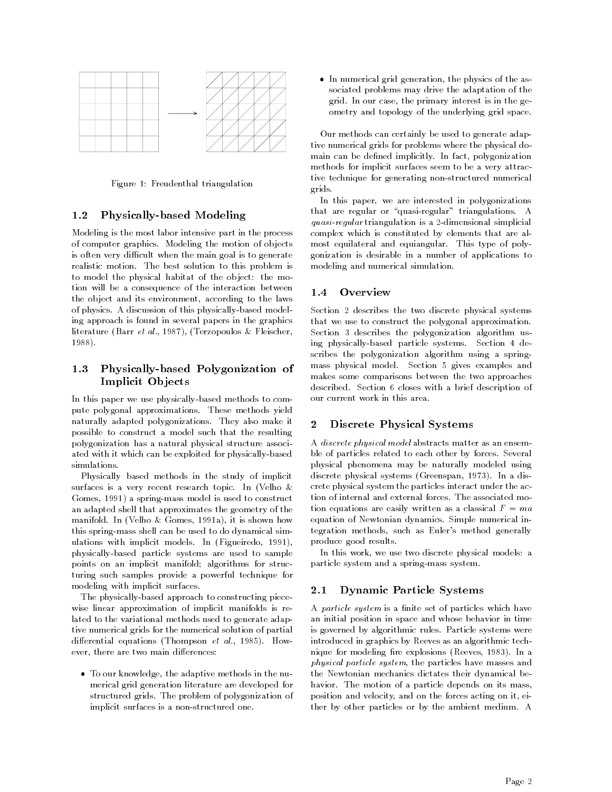

Figure 1: Freudenthal triangulation

#### 1.2 Physically-based Modeling

Modeling is the most labor intensive part in the process of computer graphics. Modeling the motion of objects is often very difficult when the main goal is to generate realistic motion. The best solution to this problem is to model the physical habitat of the object: the motion will be a consequence of the interaction between the object and its environment- according to the laws of physics. A discussion of this physically-based modeling approach is found in several papers in the graphics literature Barr et al-American de la Fleischer-Fleischer-Fleischer-Fleischer-Fleischer-Fleischer-Fleischer-Fle -------

# 1.3 Physically-based Polygonization of Implicit Ob jects

In this paper we use physically-based methods to compute polygonal approximations These methods yield naturally adapted polygonizations They also make it possible to construct a model such that the resulting polygonization has a natural physical structure associ ated with it which can be exploited for physically-based simulations.

Physically based methods in the study of implicit surfaces is a very recent research topic. In (Velho  $\&$  $\mathbf{I}$  and  $\mathbf{I}$  and  $\mathbf{I}$  and  $\mathbf{I}$  and  $\mathbf{I}$  and  $\mathbf{I}$  and  $\mathbf{I}$  and  $\mathbf{I}$  and  $\mathbf{I}$  and  $\mathbf{I}$  and  $\mathbf{I}$  and  $\mathbf{I}$  and  $\mathbf{I}$  and  $\mathbf{I}$  and  $\mathbf{I}$  and  $\mathbf{I}$  and  $\mathbf{I}$  and an adapted shell that approximates the geometry of the manifold In Velho In Velho In Velho In Velho In Velho In Velho In Velho In Velho In Velho In Velho In Velho In this spring-mass shell can be used to do dynamical simwith input  $\mathbf{u} = \mathbf{u} \mathbf{u}$  and  $\mathbf{u} = \mathbf{u} \mathbf{u}$  and  $\mathbf{u} = \mathbf{u} \mathbf{u}$ physically-based particle systems are used to sample points on an implicit manifold; algorithms for structuring such samples provide a powerful technique for modeling with implicit surfaces

The physically-based approach to constructing piecewise linear approximation of implicit manifolds is re lated to the variational methods used to generate adap tive numerical grids for the numerical solution of partial dierential en die rential en die volgens Thompson et al-Amerikaanse verskilde van die volgens van die volgens ever, there are two manual distributions.

the adds the compact the adaptive methods in the number merical grid generation literature are developed for structured grids The problem of polygonization of implicit surfaces is a non-structured one.

in numerical grid grid and the physics of the as sociated problems may drive the adaptation of the grid In our case- the primary interest is in the ge ometry and topology of the underlying grid space

Our methods can certainly be used to generate adap tive numerical grids for problems where the physical do main can be dened implicitly In fact- polygonization methods for implicit surfaces seem to be a very attrac tive technique for generating non-structured numerical grids

In this paper- we are interested in polygonizations that are regular or "quasi-regular" triangulations. A quasi-regular triangulation is a 2-dimensional simplicial complex which is constituted by elements that are al most equilateral and equiangular. This type of polygonization is desirable in a number of applications to modeling and numerical simulation

# 1.4 Overview

Section 2 describes the two discrete physical systems that we use to construct the polygonal approximation Section 3 describes the polygonization algorithm using physically-based particle systems. Section 4 describes the polygonization algorithm using a spring mass physical model. Section 5 gives examples and makes some comparisons between the two approaches described. Section 6 closes with a brief description of our current work in this area

#### $\bf{2}$ Discrete Physical Systems

A discrete physical model abstracts matter as an ensem ble of particles related to each other by forces. Several physical phenomena may be naturally modeled using discrete physical systems Greenspan-In a discrete physical system of the system of the system of the system of crete physical system the particles interact under the ac tion of internal and external forces The associated mo tion equations are easily written as a classical  $F = ma$ equation of Newtonian dynamics Simple numerical in tegration methods- such as Eulers method generally produce good results

an this work- we also two discrete physical models a particle system and a spring-mass system.

#### $2.1$ Dynamic Particle Systems

A particle system is a finite set of particles which have an initial position in space and whose behavior in time is governed by algorithmic rules Particle systems were introduced in graphics by Reeves as an algorithmic tech modeling and modeling receptions and the second article in the control of the control of the control of the co physical particle system- the particles have masses and the Newtonian mechanics dictates their dynamical be havior. The motion of a particle depends on its mass, position and velocity-the forces and on the forces acting on it-the forces acting on it-the forces acting on itther by other particles or by the ambient medium A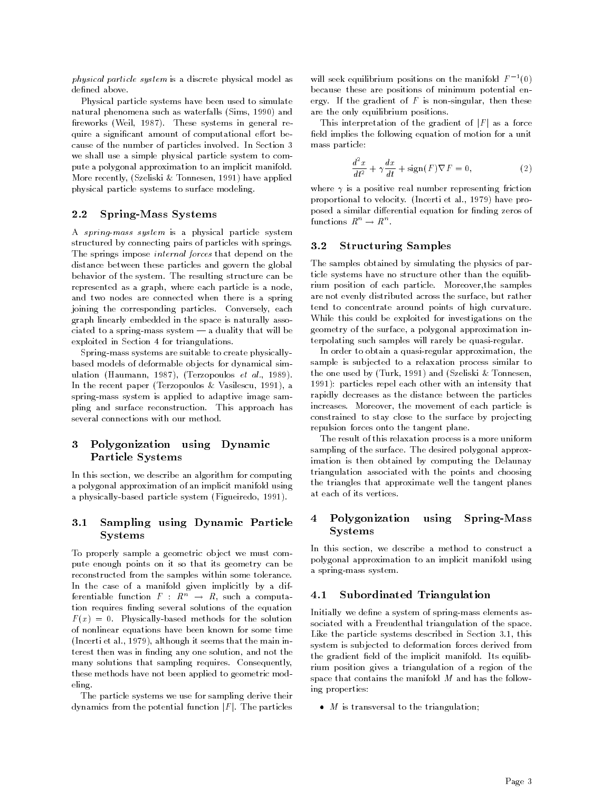physical particle system is a discrete physical model as

Physical particle systems have been used to simulate and no phenomena such as waterfalls present as y such a simple reworks Weil-These systems in general reworks were systematic functions of the control of the control of the c quire a significant amount of computational effort because of the number of particles involved. In Section 3 we shall use a simple physical particle system to com pute a polygonal approximation to an implicit manifold was a consently-propertied by the station of property that is the property of the station of the station of the physical particle systems to surface modeling

### Spring-Mass Systems

A spring-mass system is a physical particle system structured by connecting pairs of particles with springs The springs impose internal forces that depend on the distance between these particles and govern the global behavior of the system. The resulting structure can be represented as a graph-based as a graph-based as a node-based as a node-based as a node-based as a node-based o and two nodes are connected when there is a spring joining the corresponding particles Conversely- each graph linearly embedded in the space is naturally asso ciated to a spring-mass system  $-$  a duality that will be exploited in Section 4 for triangulations.

Spring-mass systems are suitable to create physicallybased models of deformable objects for dynamical simulation Haumann-Haumann-Haumann-Haumann-Haumann-Haumann-Haumann-Haumann-Haumann-Haumann-Haumann-Haumann-Hauman in the recent paper Terra and the recent paper Terra and the recent paper Terra and the recent paper Terra and spring-mass system is applied to adaptive image sampling and surface reconstruction This approach has several connections with our method

### Polygonization using Dynamic 3 Particle Systems

In this section- we describe an algorithm for computing a polygonal approximation of an implicit manifold using a physicallybased particle system Figueiredo- 

# Sampling using Dynamic Particle Systems

To properly sample a geometric object we must compute enough points on it so that its geometry can be reconstructed from the samples within some tolerance In the case of a manifold given implicitly by a dif ierentiable function  $F : R^+ \rightarrow R$ , such a computation requires finding several solutions of the equation  $F(x) = 0$ . Physically-based methods for the solution of nonlinear equations have been known for some time  $\mathcal{L}$  , and the main is set along the main intervals that the main intervals of  $\mathcal{L}$ terest then was in nding any one solution- and not the many solutions that sampling requires. Consequently, these methods have not been applied to geometric mod eling

The particle systems we use for sampling derive their dynamics from the potential function  $|F|$ . The particles

will seek equilibrium positions on the manifold  $F^{-1}(0)$ because these are positions of minimum potential en ergy is the gradient of F is non-ingular-complete the state are the only equilibrium positions

This interpretation of the gradient of  $|F|$  as a force field implies the following equation of motion for a unit mass particle

$$
\frac{d^2x}{dt^2} + \gamma \frac{dx}{dt} + \text{sign}(F)\nabla F = 0,
$$
\n(2)

where  $\epsilon$  is a positive real number of representing frictions proportional to velocity Incerti et al- have pro posed a similar differential equation for finding zeros of functions  $K^- \to K^-$ .

#### $3.2$ Structuring Samples

The samples obtained by simulating the physics of par ticle systems have no structure other than the equilib rium position of each particle Moreover-the samples are not even ly distributed across the surface-surface-surface-surface-surface-surface-surface-surface-surfacetend to concentrate around points of high curvature While this could be exploited for investigations on the geometry of the surface- a polygonal approximation in terpolating such samples will rarely be quasi-regular.

In order to obtain a quasiregular approximation- the sample is subjected to a relaxation process similar to the one used by Turk-Little and Turk-Little and Samples particles repel each other with an intensity that rapidly decreases as the distance between the particles increases Moreover- the movement of each particle is constrained to stay close to the surface by projecting repulsion forces onto the tangent plane

The result of this relaxation process is a more uniform sampling of the surface. The desired polygonal approximation is then obtained by computing the Delaunay triangulation associated with the points and choosing the triangles that approximate well the tangent planes at each of its vertices

# 4 Polygonization using Spring-Mass Systems

... .... ........ we describe a method to construct a polygonal approximation to an implicit manifold using a spring-mass system.

### Subordinated Triangulation

Initially we define a system of spring-mass elements associated with a Freudenthal triangulation of the space Like the particle systems described in Section - this system is subjected to deformation forces derived from the gradient field of the implicit manifold. Its equilibrium position gives a triangulation of a region of the space that contains the manifold  $M$  and has the following properties

 $\bullet$  *M* is transversal to the triangulation: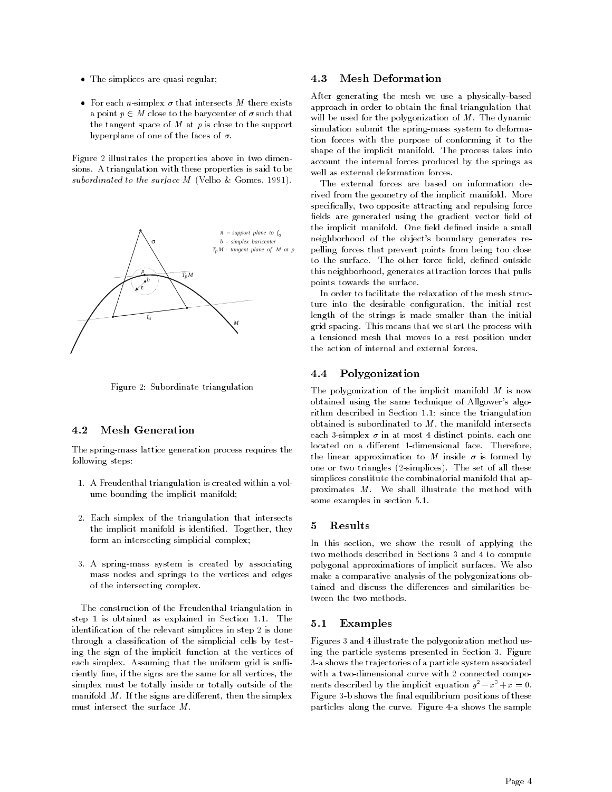- $\bullet$  The simplices are quasi-regular;
- For each *n*-simplex  $\sigma$  that intersects M there exists a point  $p \in M$  close to the barycenter of  $\sigma$  such that the tangent space of  $M$  at  $p$  is close to the support hyperplane of one of the faces of  $\sigma$ .

Figure 2 illustrates the properties above in two dimensions A triangulation with these properties is said to be subordinated to the surface M Velho is the substant which  $\mu$ 



Figure 2: Subordinate triangulation

#### 4.2 Mesh Generation

The spring-mass lattice generation process requires the following steps

- A Freudenthal triangulation is created within a vol ume bounding the implicit manifold
- Each simplex of the triangulation that intersects the implicit manifold is identied Together- they form an intersecting simplicial complex
- 3. A spring-mass system is created by associating mass nodes and springs to the vertices and edges of the intersecting complex

The construction of the Freudenthal triangulation in step 1 is obtained as explained in Section 1.1. The identification of the relevant simplices in step 2 is done through a classification of the simplicial cells by testing the sign of the implicit function at the vertices of each simplex. Assuming that the uniform grid is sufficiently circle in the signs are the same for all vertices, the s simplex must be totally inside or totally outside of the manifold M If the signs are different the simplexed and the simplexed of the signal order of the signal order must intersect the surface  $M$ .

### Mesh Deformation

After generating the mesh we use a physically-based approach in order to obtain the final triangulation that will be used for the polygonization of  $M$ . The dynamic simulation submit the spring-mass system to deformation forces with the purpose of conforming it to the shape of the implicit manifold. The process takes into account the internal forces produced by the springs as well as external deformation forces.

The external forces are based on information de rived from the geometry of the implicit manifold. More specically- two opposite attracting and repulsing force fields are generated using the gradient vector field of the implicit manifold. One field defined inside a small neighborhood of the object's boundary generates repelling forces that prevent points from being too close to the surface The surface The other force eld-control to the other force eld-control to the other force eld-c this neighborhood- generates attraction forces that pulls points towards the surface

In order to facilitate the relaxation of the mesh struc ture into the desirable conguration- the initial rest length of the strings is made smaller than the initial grid spacing This means that we start the process with a tensioned mesh that moves to a rest position under the action of internal and external forces

# Polygonization

The polygonization of the implicit manifold  $M$  is now obtained using the same technique of Allgower's algorithm described in Section 1.1: since the triangulation obtained is subordinated to M- the manifold intersects each simplex in at most in at most in at  $\mathbb{R}^n$ located on a different 1-dimensional face. Therefore, the linear approximation to M inside  $\sigma$  is formed by one or two triangles (2-simplices). The set of all these simplices constitute the combinatorial manifold that ap proximates  $M$ . We shall illustrate the method with some examples in section 5.1.

# 5

in the statute of applying the result of applying the  $\sim$ two methods described in Sections 3 and 4 to compute polygonal approximations of implicit surfaces We also make a comparative analysis of the polygonizations ob tween the two methods.

# Examples

Figures 3 and 4 illustrate the polygonization method using the particle systems presented in Section 3. Figure a shows the trajectories of a particle system associated with a two-dimensional curve with 2 connected components described by the implicit equation  $y^2 - x^2 + x = 0$ . Figure 3-b shows the final equilibrium positions of these particles along the curve. Figure 4-a shows the sample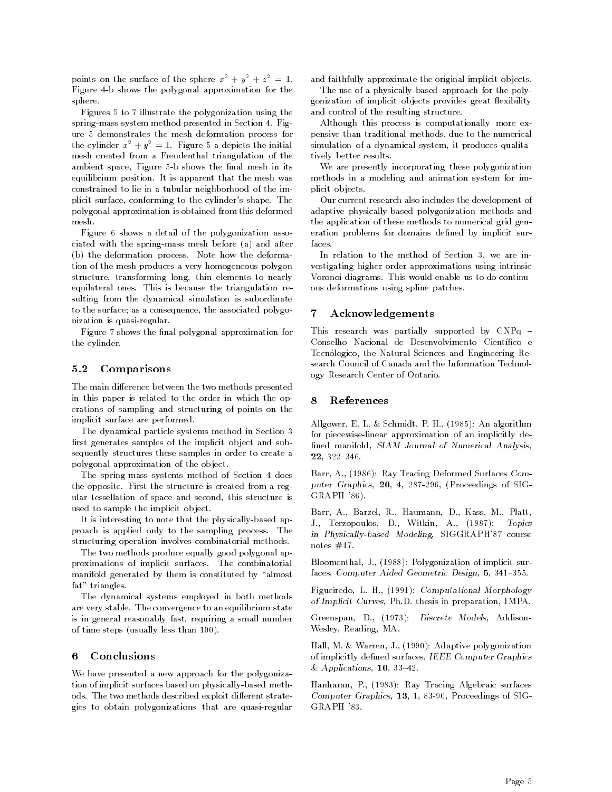points on the surface of the sphere  $x^- + y^- + z^- = 1$ . Figure b shows the polygonal approximation for the sphere

Figures 5 to 7 illustrate the polygonization using the spring-mass system method presented in Section 4. Figure  demonstrates the mesh deformation process for the cylinder  $x^- + y^- = 1$ . Figure 5-a depicts the initial mesh created from a Freudenthal triangulation of the ambient space-benefits in its space-benefits space-benefits in its space-benefits in its space-benefits in its equilibrium position. It is apparent that the mesh was constrained to lie in a tubular neighborhood of the im plicit surface-plane the conformation shape The shape Theory polygonal approximation is obtained from this deformed mesh

Figure 6 shows a detail of the polygonization associated with the spring-mass mesh before  $(a)$  and after (b) the deformation process. Note how the deformation of the mesh produces a very homogeneous polygon structure-to-minimal-transforming long-term and the control of the control of the control of the control of the control of the control of the control of the control of the control of the control of the control of the contr equilateral ones. This is because the triangulation resulting from the dynamical simulation is subordinate to the surface as a consequence- the associated polygo nization is quasi-regular.

Figure 7 shows the final polygonal approximation for the cylinder

#### 5.2 Comparisons

The main difference between the two methods presented in this paper is related to the order in which the op erations of sampling and structuring of points on the implicit surface are performed

The dynamical particle systems method in Section first generates samples of the implicit object and subsequently structures these samples in order to create a polygonal approximation of the object.

The spring-mass systems method of Section 4 does the opposite First the structure is created from a reg ular testellation of space and second-this structure is the used to sample the implicit object.

It is interesting to note that the physically-based approach is applied only to the sampling process The structuring operation involves combinatorial methods

The two methods produce equally good polygonal ap proximations of implicit surfaces. The combinatorial manifold generated by them is constituted by "almost fat" triangles.

The dynamical systems employed in both methods are very stable. The convergence to an equilibrium state is in general reasonably fast- requiring a small number of time steps (usually less than  $100$ ).

#### 6 Conclusions

We have presented a new approach for the polygoniza tion of implicit surfaces based on physically-based methods. The two methods described exploit different strategies to obtain polygonizations that are quasi-regular

and faithfully approximate the original implicit objects.

The use of a physically-based approach for the polygonization of implicit objects provides great flexibility and control of the resulting structure

Although this process is computationally more ex pensive than traditional methods-beneficial methods-beneficial methods-beneficial methods-beneficial methods-b simulation of a dynamical system- it produces qualita tively better results

We are presently incorporating these polygonization methods in a modeling and animation system for im plicit ob jects

Our current research also includes the development of adaptive physically-based polygonization methods and the application of these methods to numerical grid gen eration problems for domains defined by implicit surfaces

In relation to the method of Section - we are in vestigating higher order approximations using intrinsic Voronoi diagrams. This would enable us to do continuous deformations using spline patches

### Acknowledgements

This research was partially supported by CNPq Conselho Nacional de Desenvolvimento Científico e Tecnologico- the Natural Sciences and Engineering Re search Council of Canada and the Information Technol ogy Research Center of Ontario

### References

Allgower- E L Schmidt- P H-  An algorithm for piecewiselinear approximation of an implicitly de ned manifold- size and manifold- size and numerical Analysis-  $\mathcal{S}$  and  $\mathcal{S}$ -

Barr- A- Ray Tracing Deformed Surfaces Com puter Graphics- -- - - Proceedings of SIG  $GRAPH$  '86).

Barr- A- Barzel- R- Haumann- D- Kass- M- Platta-1 - D-2000 P-2000 Party - D-2000 Party - Party - Party - Party - Party - Party - Party - Party - Party - Par in Physically signed Modeling- signed modeling- and a signed model notes  $#17$ .

are the contract of interesting the contract of interest of interest of interest of interest of interest of in faces- Computer Aided Geometric Design- - 

Figueires and the computational Morphology of the computational  $\mathcal{W}$ of Implicit Curves- PhD thesis in preparation- IMPA

addiscrete Models- Discrete Models- Address and Discrete Modelswestern and a material contract of the contract of the contract of the contract of the contract of the contract of the contract of the contract of the contract of the contract of the contract of the contract of the contrac

Hall- M Warren- J- Adaptive polygonization of implicitly denoted surfaces and include the computer  $\mathbf{I}$ Applications- --

Hanharan- P- Ray Tracing Algebraic surfaces companies we approach a companies of the signal companies of SIG GRAPH '83.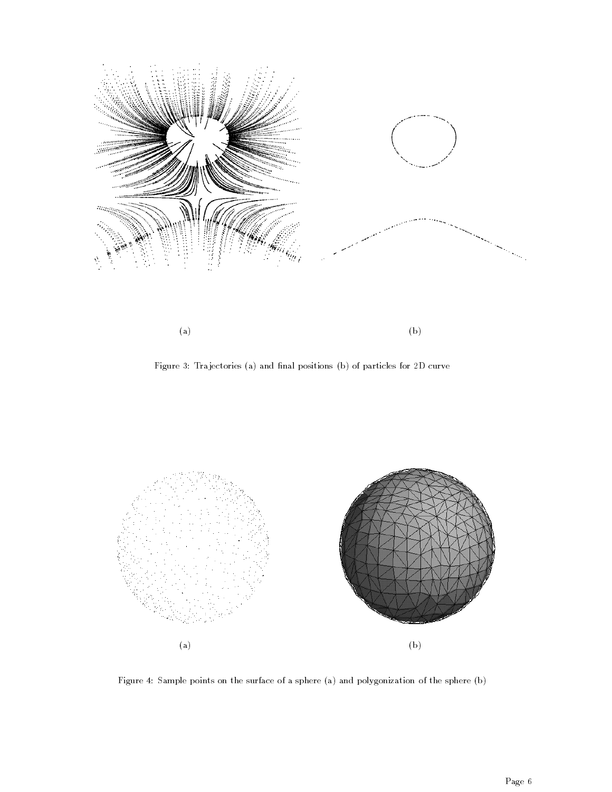

Figure 3: Trajectories (a) and final positions (b) of particles for 2D curve



Figure 4: Sample points on the surface of a sphere (a) and polygonization of the sphere (b)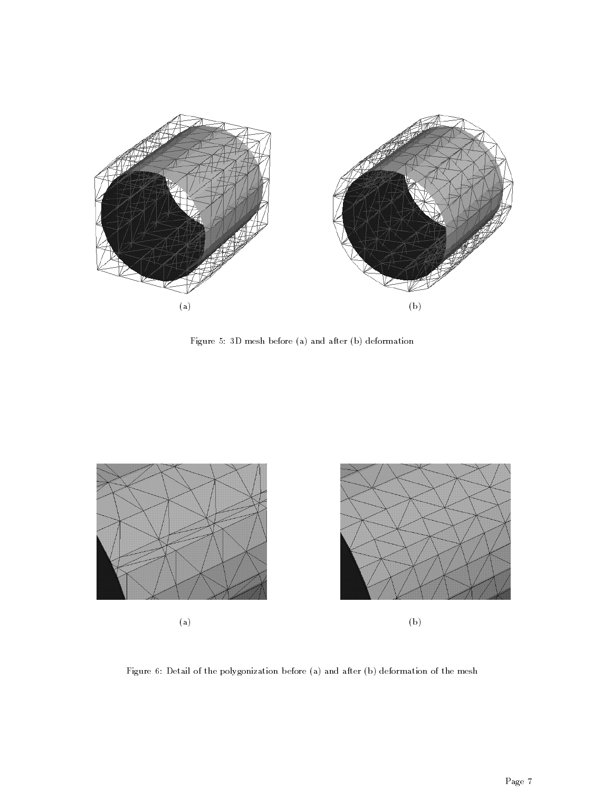

Figure 5: 3D mesh before (a) and after (b) deformation



Figure 6: Detail of the polygonization before (a) and after (b) deformation of the mesh